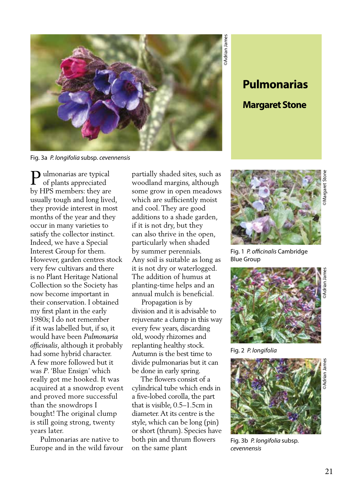

Fig. 3a *P. longifolia* subsp. *cevennensis*

Pulmonarias are typical<br>of plants appreciated of plants appreciated by HPS members: they are usually tough and long lived, they provide interest in most months of the year and they occur in many varieties to satisfy the collector instinct. Indeed, we have a Special Interest Group for them. However, garden centres stock very few cultivars and there is no Plant Heritage National Collection so the Society has now become important in their conservation. I obtained my first plant in the early 1980s; I do not remember if it was labelled but, if so, it would have been *Pulmonaria officinalis*, although it probably had some hybrid character. A few more followed but it was *P*. 'Blue Ensign' which really got me hooked. It was acquired at a snowdrop event and proved more successful than the snowdrops I bought! The original clump is still going strong, twenty years later.

 Pulmonarias are native to Europe and in the wild favour partially shaded sites, such as woodland margins, although some grow in open meadows which are sufficiently moist and cool. They are good additions to a shade garden, if it is not dry, but they can also thrive in the open, particularly when shaded by summer perennials. Any soil is suitable as long as it is not dry or waterlogged. The addition of humus at planting-time helps and an annual mulch is beneficial.

 Propagation is by division and it is advisable to rejuvenate a clump in this way every few years, discarding old, woody rhizomes and replanting healthy stock. Autumn is the best time to divide pulmonarias but it can be done in early spring.

 The flowers consist of a cylindrical tube which ends in a five-lobed corolla, the part that is visible, 0.5–1.5cm in diameter. At its centre is the style, which can be long (pin) or short (thrum). Species have both pin and thrum flowers on the same plant

**Pulmonarias**

## **Margaret Stone**



Fig. 1 *P. officinalis* Cambridge Blue Group



Fig. 2 *P. longifolia*



Fig. 3b *P. longifolia* subsp. *cevennensis*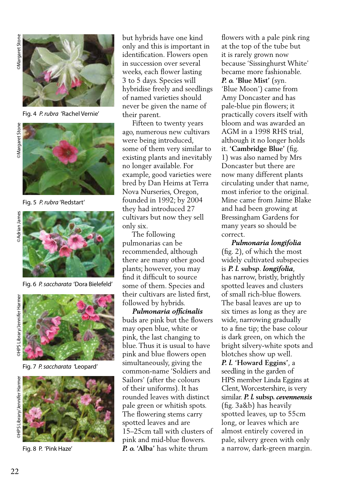**Margaret Stone** 



Fig. 4 *P. rubra* 'Rachel Vernie'

Margaret Stone



Fig. 5 *P. rubra* 'Redstart'



Fig. 6 *P. saccharata* 'Dora Bielefeld'

**OHPS Library/Jennifer Harmer** 



Fig. 7 *P. saccharata '*Leopard'



Fig. 8 P. 'Pink Haze'

but hybrids have one kind only and this is important in identification. Flowers open in succession over several weeks, each flower lasting 3 to 5 days. Species will hybridise freely and seedlings of named varieties should never be given the name of their parent.

 Fifteen to twenty years ago, numerous new cultivars were being introduced, some of them very similar to existing plants and inevitably no longer available. For example, good varieties were bred by Dan Heims at Terra Nova Nurseries, Oregon, founded in 1992; by 2004 they had introduced 27 cultivars but now they sell only six.

 The following pulmonarias can be recommended, although there are many other good plants; however, you may find it difficult to source some of them. Species and their cultivars are listed first, followed by hybrids.

 *Pulmonaria officinalis*  buds are pink but the flowers may open blue, white or pink, the last changing to blue. Thus it is usual to have pink and blue flowers open simultaneously, giving the common-name 'Soldiers and Sailors' (after the colours of their uniforms). It has rounded leaves with distinct pale green or whitish spots. The flowering stems carry spotted leaves and are 15–25cm tall with clusters of pink and mid-blue flowers. *P. o.* **'Alba'** has white thrum

flowers with a pale pink ring at the top of the tube but it is rarely grown now because 'Sissinghurst White' became more fashionable. *P. o.* **'Blue Mist'** (syn. 'Blue Moon') came from Amy Doncaster and has pale-blue pin flowers; it practically covers itself with bloom and was awarded an AGM in a 1998 RHS trial, although it no longer holds it. **'Cambridge Blue'** (fig. 1) was also named by Mrs Doncaster but there are now many different plants circulating under that name, most inferior to the original. Mine came from Jaime Blake and had been growing at Bressingham Gardens for many years so should be correct.

 *Pulmonaria longifolia*  (fig. 2), of which the most widely cultivated subspecies is *P. l.* **subsp**. *longifolia*, has narrow, bristly, brightly spotted leaves and clusters of small rich-blue flowers. The basal leaves are up to six times as long as they are wide, narrowing gradually to a fine tip; the base colour is dark green, on which the bright silvery-white spots and blotches show up well. *P. l.* **'Howard Eggins'**, a seedling in the garden of HPS member Linda Eggins at Clent, Worcestershire, is very similar. *P. l.* **subsp.** *cevennensis*  (fig. 3a&b) has heavily spotted leaves, up to 55cm long, or leaves which are almost entirely covered in pale, silvery green with only a narrow, dark-green margin.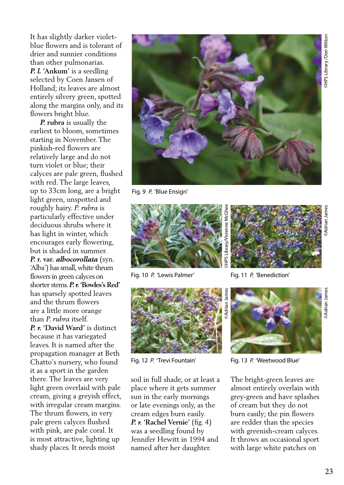It has slightly darker violetblue flowers and is tolerant of drier and sunnier conditions than other pulmonarias. *P. l.* **'Ankum'** is a seedling selected by Coen Jansen of Holland; its leaves are almost entirely silvery green, spotted along the margins only, and its flowers bright blue.

 *P.* **rubra** is usually the earliest to bloom, sometimes starting in November. The pinkish-red flowers are relatively large and do not turn violet or blue; their calyces are pale green, flushed with red. The large leaves, up to 33cm long, are a bright light green, unspotted and roughly hairy. *P. rubra* is particularly effective under deciduous shrubs where it has light in winter, which encourages early flowering, but is shaded in summer. *P.* **r. var.** *albocorollata* (syn. 'Alba') has small, white thrum flowers in green calyces on shorter stems. *P. r.* **'Bowles's Red'**  has sparsely spotted leaves and the thrum flowers are a little more orange than *P. rubra* itself. *P. r.* **'David Ward'** is distinct because it has variegated leaves. It is named after the propagation manager at Beth Chatto's nursery, who found it as a sport in the garden there. The leaves are very light green overlaid with pale cream, giving a greyish effect, with irregular cream margins. The thrum flowers, in very pale green calyces flushed with pink, are pale coral. It is most attractive, lighting up shady places. It needs moist



Fig. 9 *P.* 'Blue Ensign'





soil in full shade, or at least a place where it gets summer sun in the early mornings or late evenings only, as the cream edges burn easily. *P. r.* **'Rachel Vernie'** (fig. 4) was a seedling found by Jennifer Hewitt in 1994 and named after her daughter.



Fig. 10 P. 'Lewis Palmer' Fig. 11 P. 'Benediction'



Fig. 12 *P.* 'Trevi Fountain' Fig. 13 *P.* 'Weetwood Blue'

The bright-green leaves are almost entirely overlain with grey-green and have splashes of cream but they do not burn easily; the pin flowers are redder than the species with greenish-cream calyces. It throws an occasional sport with large white patches on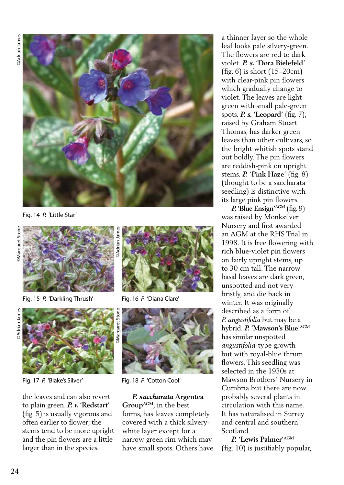

Fig. 14 *P.* 'Little Star'



Fig. 15 *P.* 'Darkling Thrush' Fig. 16 *P.* 'Diana Clare'





Fig. 17 P. 'Blake's Silver' Fig. 18 P. 'Cotton Cool'

the leaves and can also revert to plain green. *P. r.* **'Redstart'** (fig. 5) is usually vigorous and often earlier to flower; the stems tend to be more upright and the pin flowers are a little larger than in the species.





 *P. saccharata* **Argentea GroupAGM**, in the best forms, has leaves completely covered with a thick silverywhite layer except for a narrow green rim which may have small spots. Others have a thinner layer so the whole leaf looks pale silvery-green. The flowers are red to dark violet. *P. s.* **'Dora Bielefeld'**  (fig. 6) is short (15–20cm) with clear-pink pin flowers which gradually change to violet. The leaves are light green with small pale-green spots. *P. s.* **'Leopard'** (fig. 7), raised by Graham Stuart Thomas, has darker green leaves than other cultivars, so the bright whitish spots stand out boldly. The pin flowers are reddish-pink on upright stems. *P.* **'Pink Haze'** (fig. 8) (thought to be a saccharata seedling) is distinctive with its large pink pin flowers.

 *P.* **'Blue Ensign'AGM** (fig. 9) was raised by Monksilver Nursery and first awarded an AGM at the RHS Trial in 1998. It is free flowering with rich blue-violet pin flowers on fairly upright stems, up to 30 cm tall. The narrow basal leaves are dark green, unspotted and not very bristly, and die back in winter. It was originally described as a form of *P. angustifolia* but may be a hybrid. *P.* **'Mawson's Blue'AGM** has similar unspotted *angustifolia*-type growth but with royal-blue thrum flowers. This seedling was selected in the 1930s at Mawson Brothers' Nursery in Cumbria but there are now probably several plants in circulation with this name. It has naturalised in Surrey and central and southern Scotland.

 *P.* **'Lewis Palmer'AGM** (fig. 10) is justifiably popular,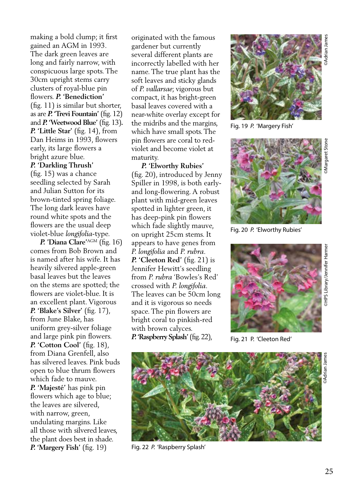making a bold clump; it first gained an AGM in 1993. The dark green leaves are long and fairly narrow, with conspicuous large spots. The 30cm upright stems carry clusters of royal-blue pin flowers. *P.* **'Benediction'**  (fig. 11) is similar but shorter, as are *P.* **'Trevi Fountain'** (fig. 12) and *P.* **'Weetwood Blue'** (fig. 13)*. P.* **'Little Star'** (fig. 14), from Dan Heims in 1993, flowers early, its large flowers a bright azure blue. *P.* **'Darkling Thrush'**  (fig. 15) was a chance

seedling selected by Sarah and Julian Sutton for its brown-tinted spring foliage. The long dark leaves have round white spots and the flowers are the usual deep violet-blue *longifolia*-type.

 *P.* **'Diana Clare'**AGM (fig. 16) comes from Bob Brown and is named after his wife. It has heavily silvered apple-green basal leaves but the leaves on the stems are spotted; the flowers are violet-blue. It is an excellent plant. Vigorous *P.* **'Blake's Silver'** (fig. 17), from June Blake, has uniform grey-silver foliage and large pink pin flowers. *P.* **'Cotton Cool'** (fig. 18), from Diana Grenfell, also has silvered leaves. Pink buds open to blue thrum flowers which fade to mauve. *P.* **'Majesté'** has pink pin flowers which age to blue; the leaves are silvered, with narrow, green, undulating margins. Like all those with silvered leaves, the plant does best in shade. *P.* **'Margery Fish'** (fig. 19)

originated with the famous gardener but currently several different plants are incorrectly labelled with her name. The true plant has the soft leaves and sticky glands of *P. vallarsae*; vigorous but compact, it has bright-green basal leaves covered with a near-white overlay except for the midribs and the margins, which have small spots. The pin flowers are coral to redviolet and become violet at maturity.

 *P.* **'Elworthy Rubies'** (fig. 20), introduced by Jenny Spiller in 1998, is both earlyand long-flowering. A robust plant with mid-green leaves spotted in lighter green, it has deep-pink pin flowers which fade slightly mauve, on upright 25cm stems. It appears to have genes from *P. longifolia* and *P. rubra. P.* **'Cleeton Red'** (fig. 21) is Jennifer Hewitt's seedling from *P. rubra* 'Bowles's Red' crossed with *P. longifolia*. The leaves can be 50cm long and it is vigorous so needs space. The pin flowers are bright coral to pinkish-red with brown calyces. *P.* **'Raspberry Splash'** (fig. 22),



Fig. 19 *P.* 'Margery Fish'



Fig. 20 *P.* 'Elworthy Rubies'



Fig. 21 P. 'Cleeton Red'



Fig. 22 *P.* 'Raspberry Splash'